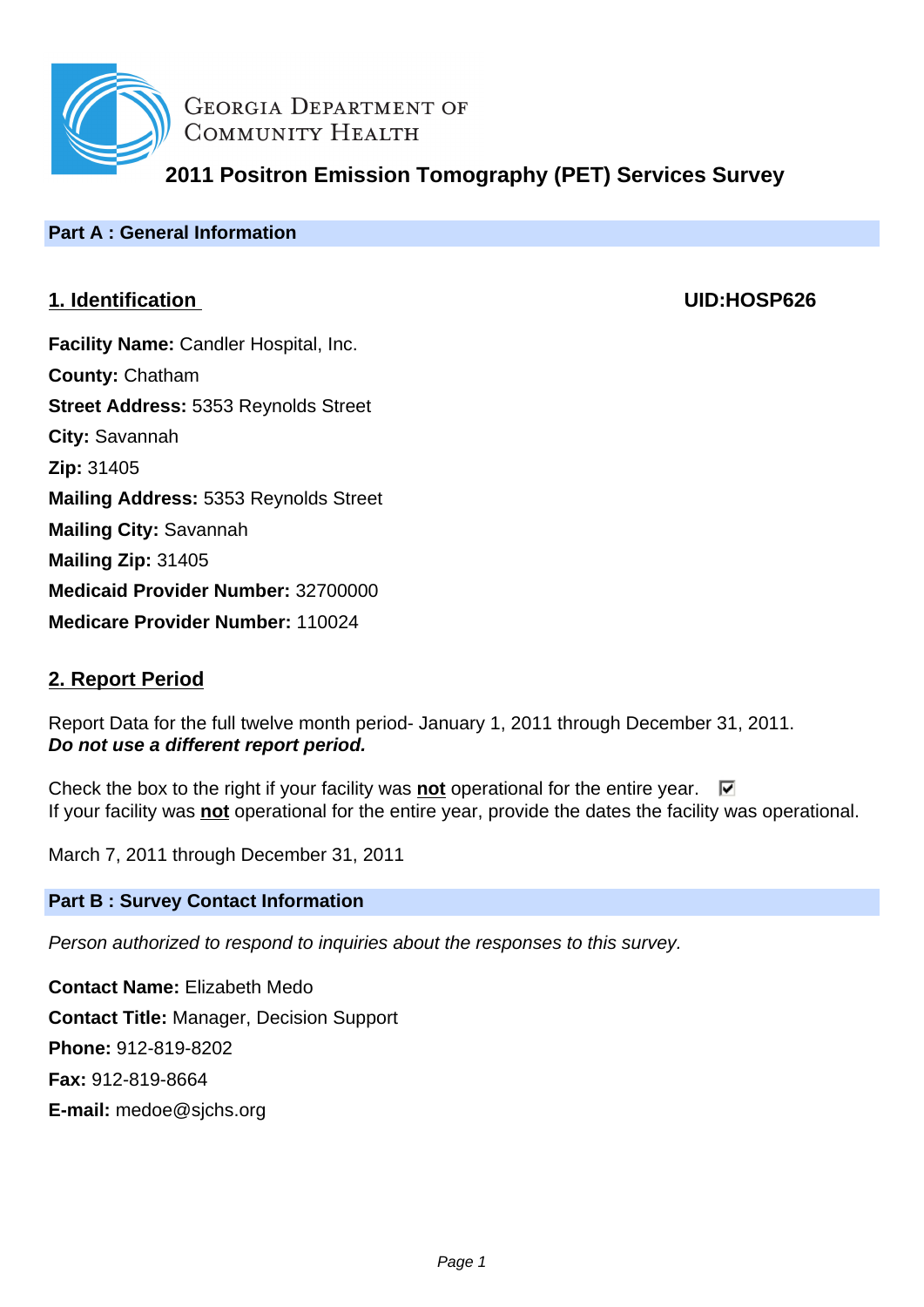

**GEORGIA DEPARTMENT OF** COMMUNITY HEALTH

**2011 Positron Emission Tomography (PET) Services Survey**

# **Part A : General Information**

# **1. Identification UID:HOSP626**

**Facility Name: Candler Hospital, Inc. County:** Chatham **Street Address:** 5353 Reynolds Street **City:** Savannah **Zip:** 31405 **Mailing Address:** 5353 Reynolds Street **Mailing City:** Savannah **Mailing Zip:** 31405 **Medicaid Provider Number:** 32700000 **Medicare Provider Number:** 110024

# **2. Report Period**

Report Data for the full twelve month period- January 1, 2011 through December 31, 2011. **Do not use a different report period.**

Check the box to the right if your facility was **not** operational for the entire year.  $\Box$ If your facility was **not** operational for the entire year, provide the dates the facility was operational.

March 7, 2011 through December 31, 2011

# **Part B : Survey Contact Information**

Person authorized to respond to inquiries about the responses to this survey.

**Contact Name:** Elizabeth Medo **Contact Title:** Manager, Decision Support **Phone:** 912-819-8202 **Fax:** 912-819-8664 **E-mail:** medoe@sjchs.org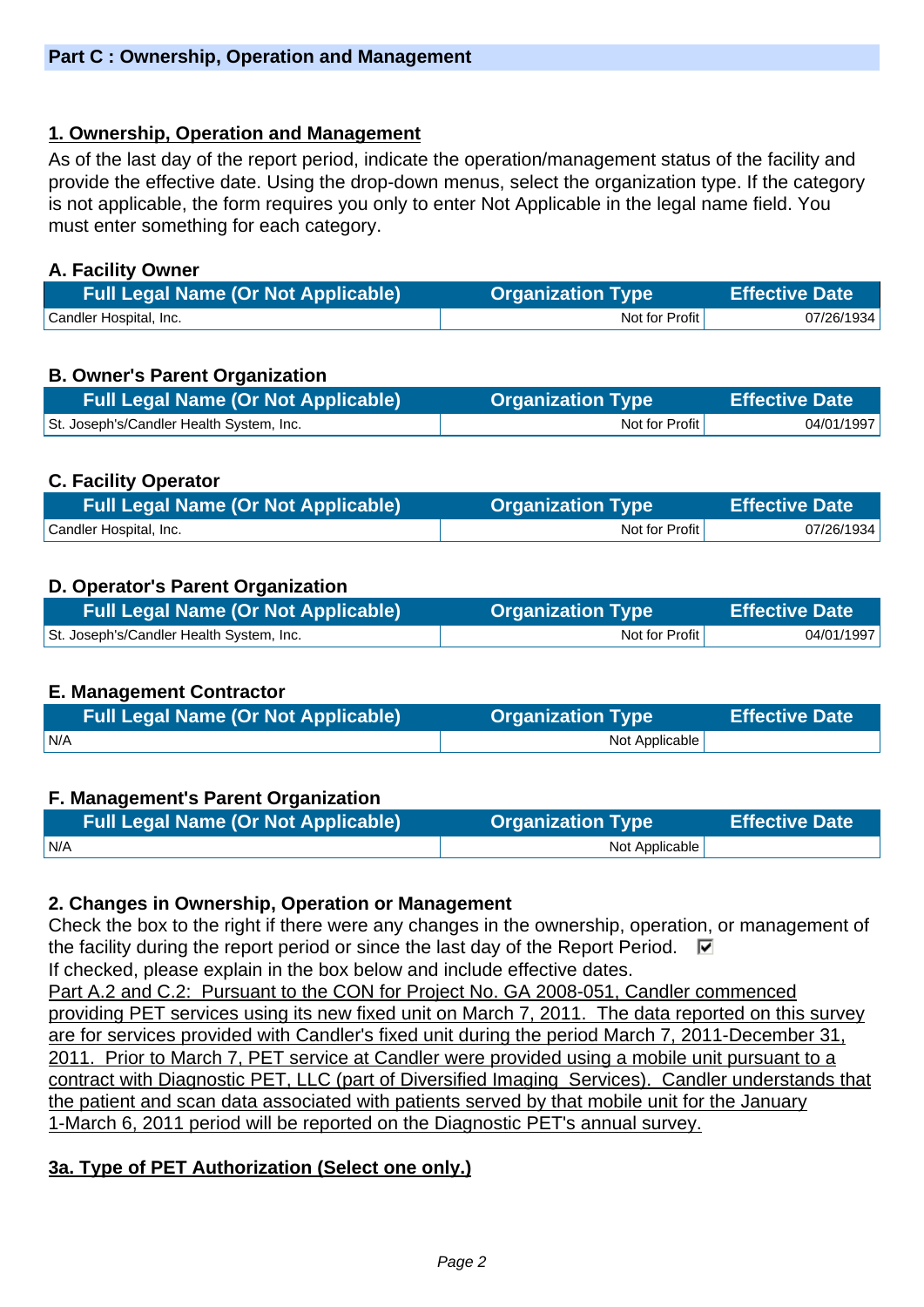### **1. Ownership, Operation and Management**

As of the last day of the report period, indicate the operation/management status of the facility and provide the effective date. Using the drop-down menus, select the organization type. If the category is not applicable, the form requires you only to enter Not Applicable in the legal name field. You must enter something for each category.

### **A. Facility Owner**

| <b>Full Legal Name (Or Not Applicable)</b> | <b>Organization Type</b> | <b>Effective Date</b> |
|--------------------------------------------|--------------------------|-----------------------|
| Candler Hospital, Inc.                     | Not for Profit           | 07/26/1934            |

### **B. Owner's Parent Organization**

| Full Legal Name (Or Not Applicable)      | <b>Organization Type \</b> | <b>Effective Date</b> |
|------------------------------------------|----------------------------|-----------------------|
| St. Joseph's/Candler Health System, Inc. | Not for Profit             | 04/01/1997            |

### **C. Facility Operator**

| <b>Full Legal Name (Or Not Applicable)</b> | <b>Organization Type</b> | <b>Effective Date</b> |
|--------------------------------------------|--------------------------|-----------------------|
| Candler Hospital, Inc.                     | Not for Profit           | 07/26/1934            |

### **D. Operator's Parent Organization**

| <b>Full Legal Name (Or Not Applicable)</b> | <b>Organization Type</b> | <b>Effective Date</b> |
|--------------------------------------------|--------------------------|-----------------------|
| St. Joseph's/Candler Health System, Inc.   | Not for Profit           | 04/01/1997            |

### **E. Management Contractor**

| <b>Full Legal Name (Or Not Applicable)</b> | <b>Organization Type</b> | <b>Effective Date</b> |
|--------------------------------------------|--------------------------|-----------------------|
| IN/A                                       | Not Applicable           |                       |

### **F. Management's Parent Organization**

| Full Legal Name (Or Not Applicable) | <b>Organization Type</b> | <b>Effective Date</b> |
|-------------------------------------|--------------------------|-----------------------|
| N/A                                 | Not Applicable           |                       |

### **2. Changes in Ownership, Operation or Management**

Check the box to the right if there were any changes in the ownership, operation, or management of the facility during the report period or since the last day of the Report Period.  $\Box$ If checked, please explain in the box below and include effective dates.

Part A.2 and C.2: Pursuant to the CON for Project No. GA 2008-051, Candler commenced providing PET services using its new fixed unit on March 7, 2011. The data reported on this survey are for services provided with Candler's fixed unit during the period March 7, 2011-December 31, 2011. Prior to March 7, PET service at Candler were provided using a mobile unit pursuant to a contract with Diagnostic PET, LLC (part of Diversified Imaging Services). Candler understands that the patient and scan data associated with patients served by that mobile unit for the January 1-March 6, 2011 period will be reported on the Diagnostic PET's annual survey.

# **3a. Type of PET Authorization (Select one only.)**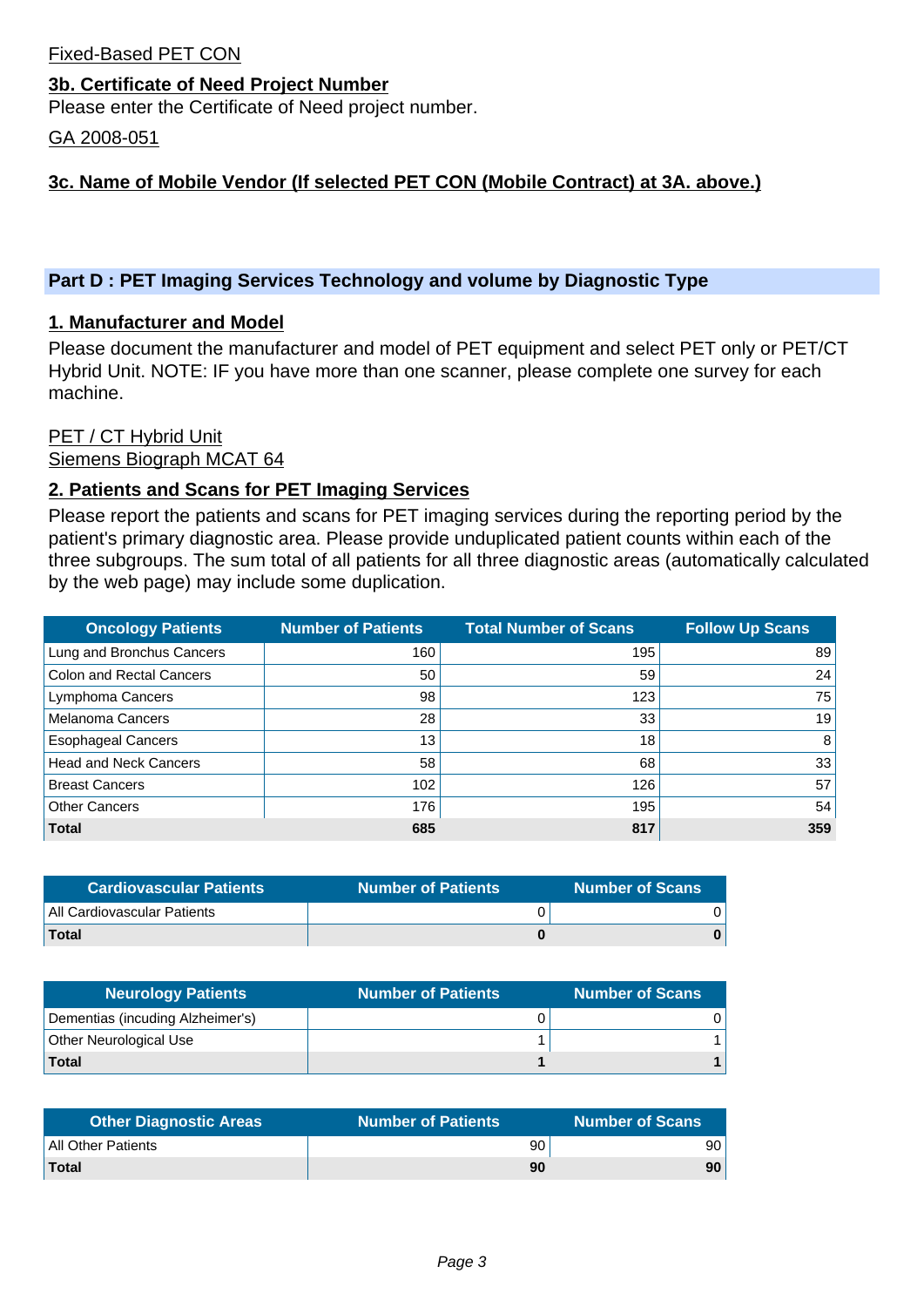### Fixed-Based PET CON

### **3b. Certificate of Need Project Number**

Please enter the Certificate of Need project number.

GA 2008-051

### **3c. Name of Mobile Vendor (If selected PET CON (Mobile Contract) at 3A. above.)**

### **Part D : PET Imaging Services Technology and volume by Diagnostic Type**

### **1. Manufacturer and Model**

Please document the manufacturer and model of PET equipment and select PET only or PET/CT Hybrid Unit. NOTE: IF you have more than one scanner, please complete one survey for each machine.

# PET / CT Hybrid Unit

Siemens Biograph MCAT 64

### **2. Patients and Scans for PET Imaging Services**

Please report the patients and scans for PET imaging services during the reporting period by the patient's primary diagnostic area. Please provide unduplicated patient counts within each of the three subgroups. The sum total of all patients for all three diagnostic areas (automatically calculated by the web page) may include some duplication.

| <b>Oncology Patients</b>     | <b>Number of Patients</b> | <b>Total Number of Scans</b> | <b>Follow Up Scans</b> |
|------------------------------|---------------------------|------------------------------|------------------------|
| Lung and Bronchus Cancers    | 160                       | 195                          | 89                     |
| Colon and Rectal Cancers     | 50                        | 59                           | 24                     |
| Lymphoma Cancers             | 98                        | 123                          | 75                     |
| <b>Melanoma Cancers</b>      | 28                        | 33                           | 19 <sub>1</sub>        |
| <b>Esophageal Cancers</b>    | 13                        | 18                           | 8                      |
| <b>Head and Neck Cancers</b> | 58                        | 68                           | 33                     |
| <b>Breast Cancers</b>        | 102                       | 126                          | 57                     |
| <b>Other Cancers</b>         | 176                       | 195                          | 54                     |
| <b>Total</b>                 | 685                       | 817                          | 359                    |

| <b>Cardiovascular Patients</b> | <b>Number of Patients</b> | <b>Number of Scans</b> |
|--------------------------------|---------------------------|------------------------|
| All Cardiovascular Patients    |                           |                        |
| <b>Total</b>                   |                           |                        |

| <b>Neurology Patients</b>        | <b>Number of Patients</b> | <b>Number of Scans</b> |
|----------------------------------|---------------------------|------------------------|
| Dementias (incuding Alzheimer's) |                           |                        |
| <b>Other Neurological Use</b>    |                           |                        |
| Total                            |                           |                        |

| <b>Other Diagnostic Areas</b> | <b>Number of Patients</b> | <b>Number of Scans</b> |
|-------------------------------|---------------------------|------------------------|
| All Other Patients            | 90                        | 90 '                   |
| <b>Total</b>                  | 90                        | 90                     |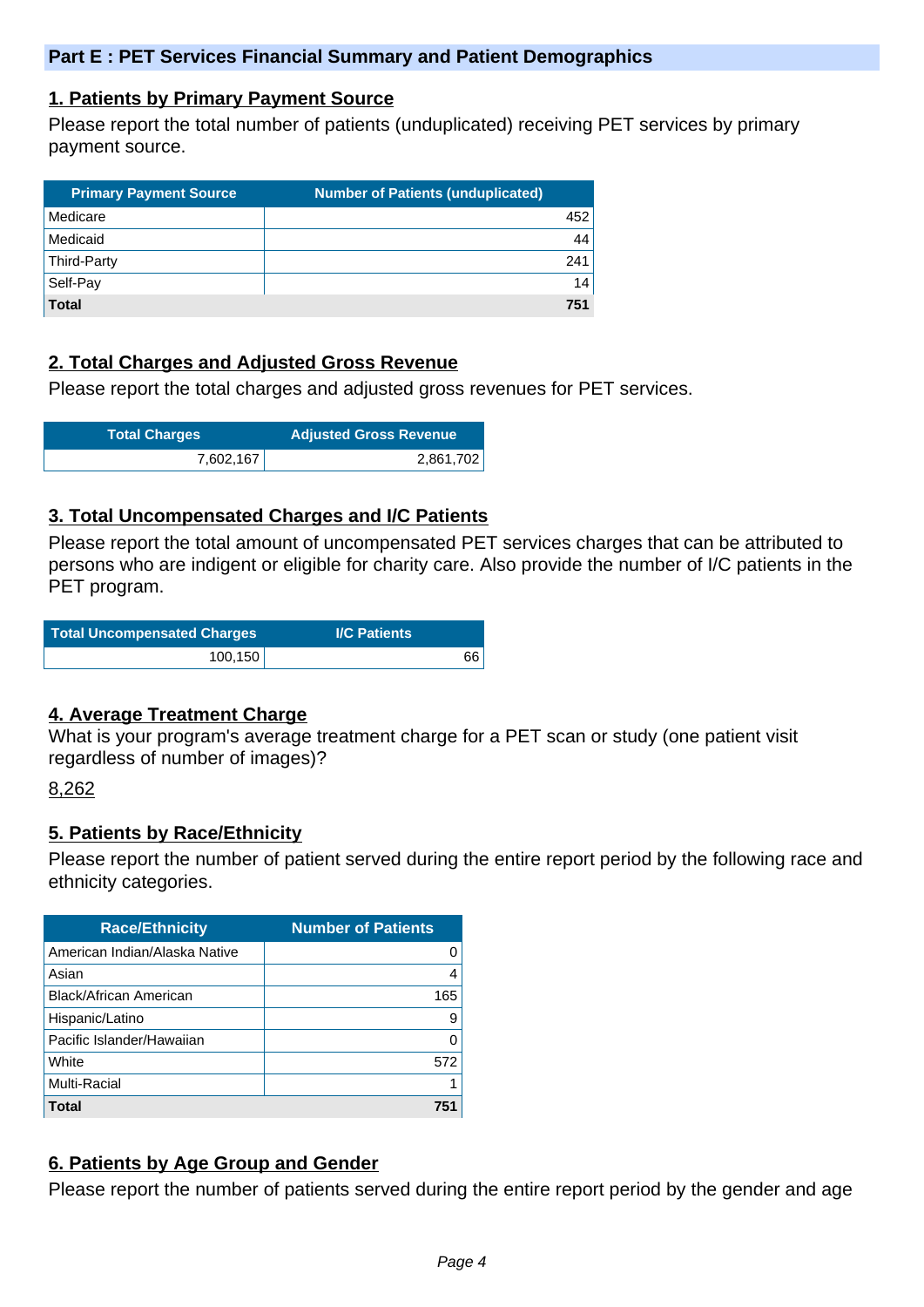### **1. Patients by Primary Payment Source**

Please report the total number of patients (unduplicated) receiving PET services by primary payment source.

| <b>Primary Payment Source</b> | <b>Number of Patients (unduplicated)</b> |
|-------------------------------|------------------------------------------|
| Medicare                      | 452                                      |
| Medicaid                      | 44 <sup>1</sup>                          |
| Third-Party                   | 241                                      |
| Self-Pay                      | 14                                       |
| <b>Total</b>                  | 751                                      |

### **2. Total Charges and Adjusted Gross Revenue**

Please report the total charges and adjusted gross revenues for PET services.

| <b>Total Charges</b> | <b>Adjusted Gross Revenue</b> |
|----------------------|-------------------------------|
| 7,602,167            | 2,861,702                     |

### **3. Total Uncompensated Charges and I/C Patients**

Please report the total amount of uncompensated PET services charges that can be attributed to persons who are indigent or eligible for charity care. Also provide the number of I/C patients in the PET program.

| <b>Total Uncompensated Charges</b> | <b>I/C Patients</b> |
|------------------------------------|---------------------|
| 100, 150                           | 66                  |

### **4. Average Treatment Charge**

What is your program's average treatment charge for a PET scan or study (one patient visit regardless of number of images)?

### 8,262

### **5. Patients by Race/Ethnicity**

Please report the number of patient served during the entire report period by the following race and ethnicity categories.

| <b>Race/Ethnicity</b>         | <b>Number of Patients</b> |
|-------------------------------|---------------------------|
| American Indian/Alaska Native | 0                         |
| Asian                         | 4                         |
| Black/African American        | 165                       |
| Hispanic/Latino               | 9                         |
| Pacific Islander/Hawaiian     | O                         |
| White                         | 572                       |
| <b>Multi-Racial</b>           | 1                         |
| <b>Total</b>                  | 751                       |

# **6. Patients by Age Group and Gender**

Please report the number of patients served during the entire report period by the gender and age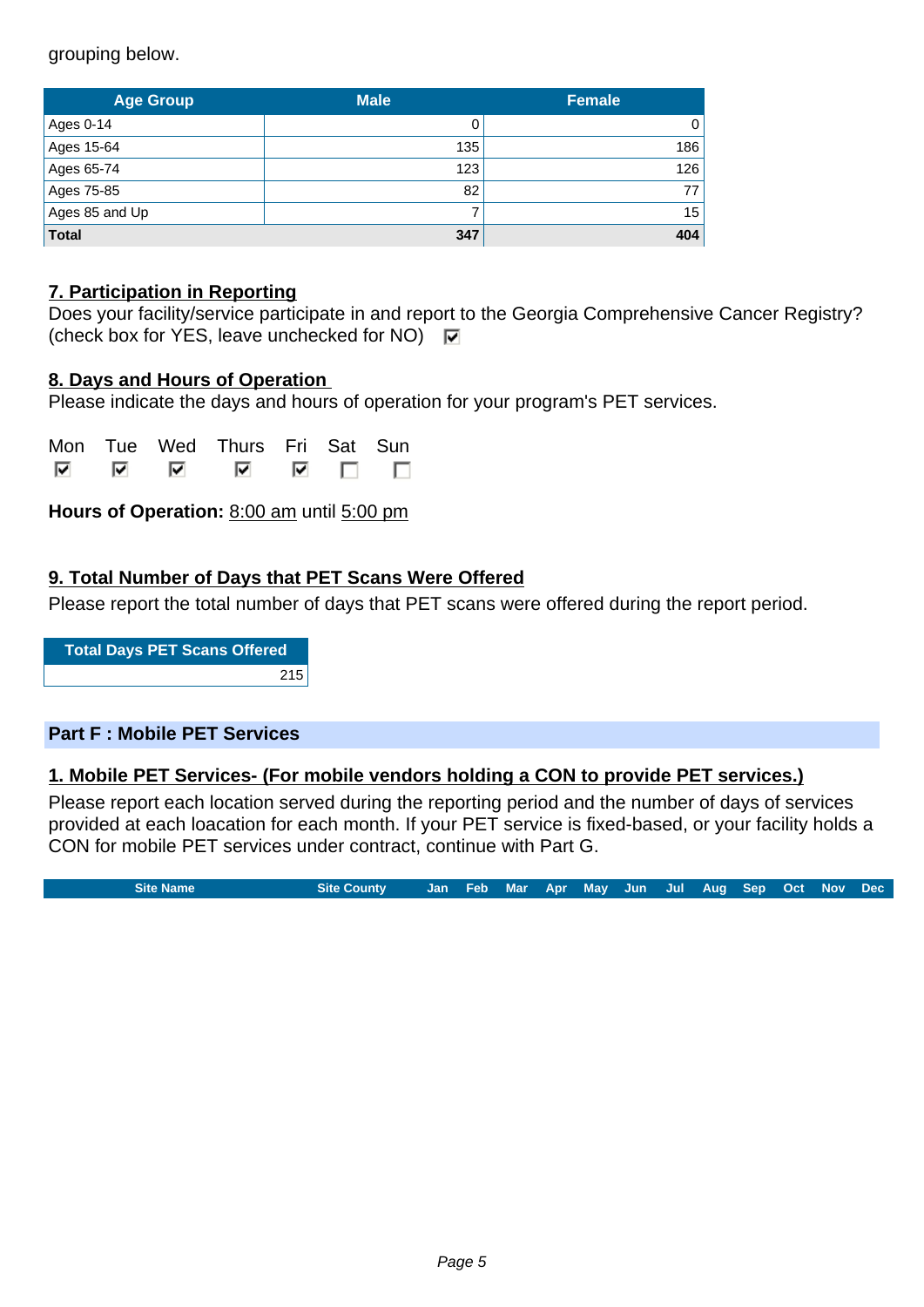grouping below.

| <b>Age Group</b> | <b>Male</b> | <b>Female</b> |  |
|------------------|-------------|---------------|--|
| Ages 0-14        |             | 0             |  |
| Ages 15-64       | 135         | 186           |  |
| Ages 65-74       | 123         | 126           |  |
| Ages 75-85       | 82          | 77            |  |
| Ages 85 and Up   |             | 15            |  |
| <b>Total</b>     | 347         | 404           |  |

### **7. Participation in Reporting**

|                                                                     | Does your facility/service participate in and report to the Georgia Comprehensive Cancer Registry? |
|---------------------------------------------------------------------|----------------------------------------------------------------------------------------------------|
| (check box for YES, leave unchecked for NO) $\overline{\mathbf{v}}$ |                                                                                                    |

### **8. Days and Hours of Operation**

Please indicate the days and hours of operation for your program's PET services.

|               | Mon Tue Wed Thurs Fri Sat Sun |  |       |
|---------------|-------------------------------|--|-------|
| <u> जिल्ल</u> | ᢊ                             |  | ▽ □ □ |

**Hours of Operation:** 8:00 am until 5:00 pm

### **9. Total Number of Days that PET Scans Were Offered**

Please report the total number of days that PET scans were offered during the report period.

**Total Days PET Scans Offered** 215

### **Part F : Mobile PET Services**

### **1. Mobile PET Services- (For mobile vendors holding a CON to provide PET services.)**

Please report each location served during the reporting period and the number of days of services provided at each loacation for each month. If your PET service is fixed-based, or your facility holds a CON for mobile PET services under contract, continue with Part G.

**Site Name Site County Jan Feb Mar Apr May Jun Jul Aug Sep Oct Nov Dec**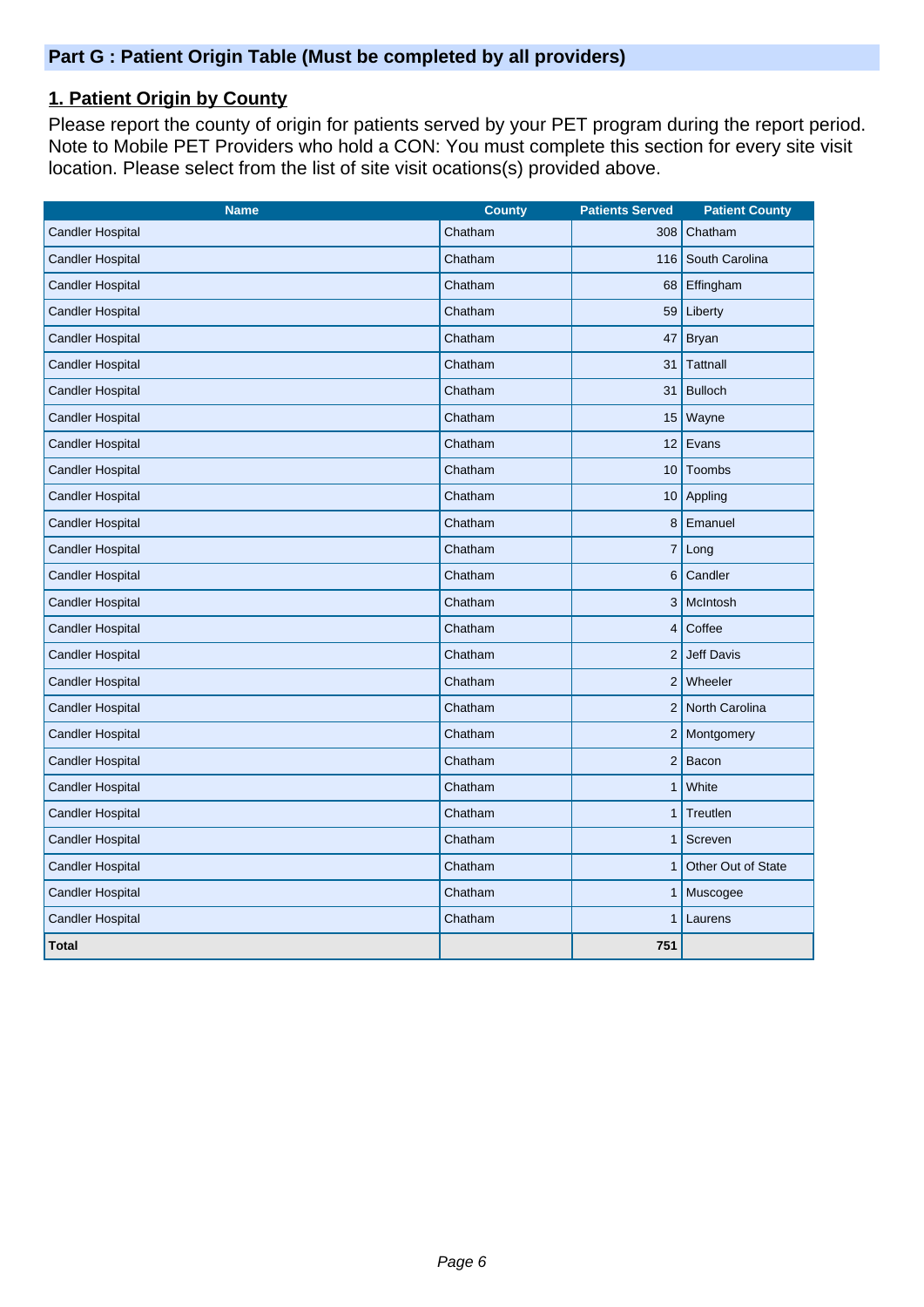# **1. Patient Origin by County**

Please report the county of origin for patients served by your PET program during the report period. Note to Mobile PET Providers who hold a CON: You must complete this section for every site visit location. Please select from the list of site visit ocations(s) provided above.

| <b>Name</b>             | <b>County</b> | <b>Patients Served</b> | <b>Patient County</b> |
|-------------------------|---------------|------------------------|-----------------------|
| <b>Candler Hospital</b> | Chatham       | 308                    | Chatham               |
| <b>Candler Hospital</b> | Chatham       |                        | 116 South Carolina    |
| <b>Candler Hospital</b> | Chatham       | 68                     | Effingham             |
| <b>Candler Hospital</b> | Chatham       | 59                     | Liberty               |
| <b>Candler Hospital</b> | Chatham       | 47                     | <b>Bryan</b>          |
| <b>Candler Hospital</b> | Chatham       | 31                     | <b>Tattnall</b>       |
| <b>Candler Hospital</b> | Chatham       | 31                     | <b>Bulloch</b>        |
| <b>Candler Hospital</b> | Chatham       |                        | 15   Wayne            |
| <b>Candler Hospital</b> | Chatham       |                        | 12 Evans              |
| <b>Candler Hospital</b> | Chatham       | 10 <sup>1</sup>        | Toombs                |
| <b>Candler Hospital</b> | Chatham       |                        | 10 Appling            |
| <b>Candler Hospital</b> | Chatham       |                        | 8 Emanuel             |
| <b>Candler Hospital</b> | Chatham       | $\overline{7}$         | Long                  |
| <b>Candler Hospital</b> | Chatham       |                        | 6 Candler             |
| <b>Candler Hospital</b> | Chatham       |                        | 3 McIntosh            |
| <b>Candler Hospital</b> | Chatham       | 4                      | Coffee                |
| <b>Candler Hospital</b> | Chatham       |                        | 2 Jeff Davis          |
| <b>Candler Hospital</b> | Chatham       |                        | $2$ Wheeler           |
| <b>Candler Hospital</b> | Chatham       |                        | 2 North Carolina      |
| <b>Candler Hospital</b> | Chatham       |                        | 2 Montgomery          |
| <b>Candler Hospital</b> | Chatham       |                        | $2$ Bacon             |
| <b>Candler Hospital</b> | Chatham       | 1 <sup>1</sup>         | White                 |
| <b>Candler Hospital</b> | Chatham       | 1                      | Treutlen              |
| <b>Candler Hospital</b> | Chatham       | 1                      | Screven               |
| <b>Candler Hospital</b> | Chatham       | 1                      | Other Out of State    |
| <b>Candler Hospital</b> | Chatham       | 1                      | Muscogee              |
| <b>Candler Hospital</b> | Chatham       | 1                      | Laurens               |
| <b>Total</b>            |               | 751                    |                       |